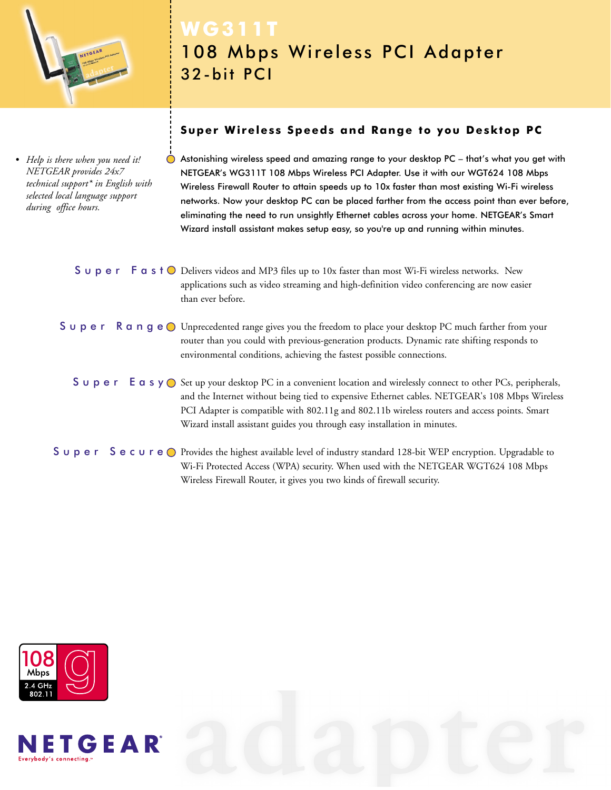

*• Help is there when you need it! NETGEAR provides 24x7 technical support\* in English with selected local language support during office hours.*

# **WG311T** 108 Mbps Wireless PCI Adapter 32-bit PCI

# **Super Wireless Speeds and Range to you Desktop PC**

Astonishing wireless speed and amazing range to your desktop PC – that's what you get with NETGEAR's WG311T 108 Mbps Wireless PCI Adapter. Use it with our WGT624 108 Mbps Wireless Firewall Router to attain speeds up to 10x faster than most existing Wi-Fi wireless networks. Now your desktop PC can be placed farther from the access point than ever before, eliminating the need to run unsightly Ethernet cables across your home. NETGEAR's Smart Wizard install assistant makes setup easy, so you're up and running within minutes.

# **S**  $\cup$  **p**  $\bf{e}$  **r**  $\cap$  **F**  $\bf{a}$  s  $\bf{t}$   $\odot$  Delivers videos and MP3 files up to 10x faster than most Wi-Fi wireless networks. New applications such as video streaming and high-definition video conferencing are now easier than ever before.

# $S$   $\cup$   $p$   $e$   $r$   $R$   $\alpha$   $n$   $g$   $e$   $\circ$  Unprecedented range gives you the freedom to place your desktop PC much farther from your router than you could with previous-generation products. Dynamic rate shifting responds to environmental conditions, achieving the fastest possible connections.

# Super Easy O Set up your desktop PC in a convenient location and wirelessly connect to other PCs, peripherals, and the Internet without being tied to expensive Ethernet cables. NETGEAR's 108 Mbps Wireless PCI Adapter is compatible with 802.11g and 802.11b wireless routers and access points. Smart Wizard install assistant guides you through easy installation in minutes.

# Super SecureO Provides the highest available level of industry standard 128-bit WEP encryption. Upgradable to Wi-Fi Protected Access (WPA) security. When used with the NETGEAR WGT624 108 Mbps Wireless Firewall Router, it gives you two kinds of firewall security.